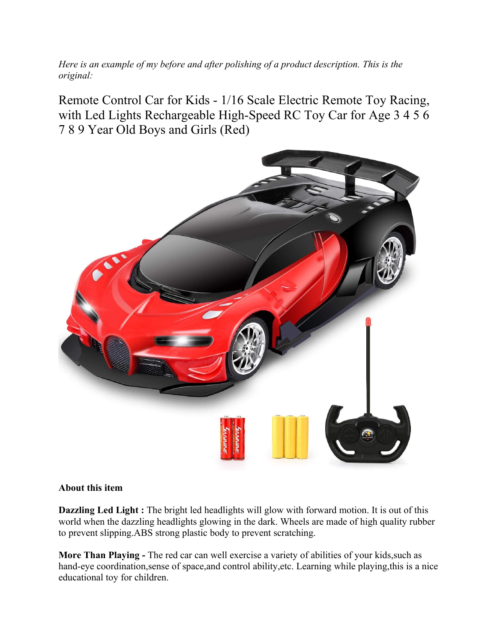*Here is an example of my before and after polishing of a product description. This is the original:*

Remote Control Car for Kids - 1/16 Scale Electric Remote Toy Racing, with Led Lights Rechargeable High-Speed RC Toy Car for Age 3 4 5 6 7 8 9 Year Old Boys and Girls (Red)



## **About this item**

**Dazzling Led Light :** The bright led headlights will glow with forward motion. It is out of this world when the dazzling headlights glowing in the dark. Wheels are made of high quality rubber to prevent slipping.ABS strong plastic body to prevent scratching.

**More Than Playing -** The red car can well exercise a variety of abilities of your kids,such as hand-eye coordination, sense of space, and control ability, etc. Learning while playing, this is a nice educational toy for children.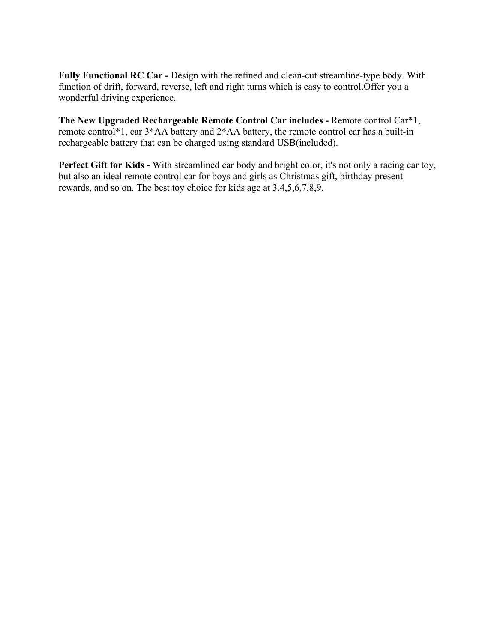**Fully Functional RC Car -** Design with the refined and clean-cut streamline-type body. With function of drift, forward, reverse, left and right turns which is easy to control.Offer you a wonderful driving experience.

**The New Upgraded Rechargeable Remote Control Car includes -** Remote control Car\*1, remote control\*1, car 3\*AA battery and 2\*AA battery, the remote control car has a built-in rechargeable battery that can be charged using standard USB(included).

**Perfect Gift for Kids -** With streamlined car body and bright color, it's not only a racing car toy, but also an ideal remote control car for boys and girls as Christmas gift, birthday present rewards, and so on. The best toy choice for kids age at 3,4,5,6,7,8,9.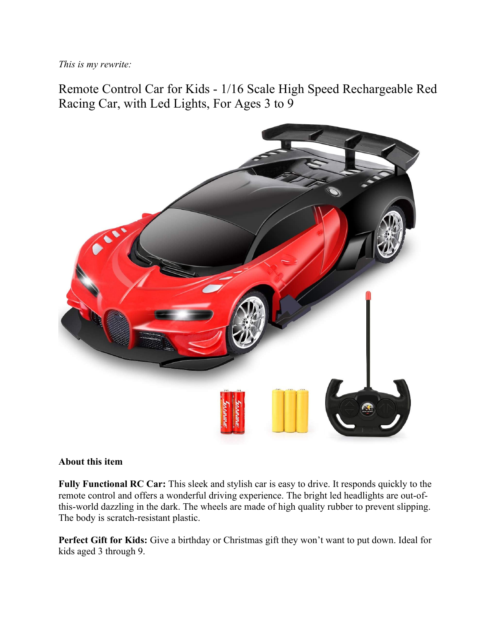*This is my rewrite:*

Remote Control Car for Kids - 1/16 Scale High Speed Rechargeable Red Racing Car, with Led Lights, For Ages 3 to 9



## **About this item**

**Fully Functional RC Car:** This sleek and stylish car is easy to drive. It responds quickly to the remote control and offers a wonderful driving experience. The bright led headlights are out-ofthis-world dazzling in the dark. The wheels are made of high quality rubber to prevent slipping. The body is scratch-resistant plastic.

**Perfect Gift for Kids:** Give a birthday or Christmas gift they won't want to put down. Ideal for kids aged 3 through 9.